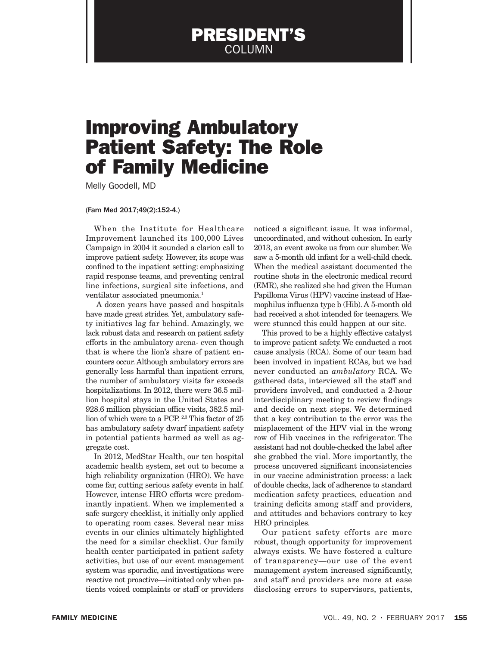## PRESIDENT'S COLUMN

## Improving Ambulatory Patient Safety: The Role of Family Medicine

Melly Goodell, MD

## (Fam Med 2017;49(2):152-4.)

When the Institute for Healthcare Improvement launched its 100,000 Lives Campaign in 2004 it sounded a clarion call to improve patient safety. However, its scope was confined to the inpatient setting: emphasizing rapid response teams, and preventing central line infections, surgical site infections, and ventilator associated pneumonia.1

 A dozen years have passed and hospitals have made great strides. Yet, ambulatory safety initiatives lag far behind. Amazingly, we lack robust data and research on patient safety efforts in the ambulatory arena- even though that is where the lion's share of patient encounters occur. Although ambulatory errors are generally less harmful than inpatient errors, the number of ambulatory visits far exceeds hospitalizations. In 2012, there were 36.5 million hospital stays in the United States and 928.6 million physician office visits, 382.5 million of which were to a PCP. 2,3 This factor of 25 has ambulatory safety dwarf inpatient safety in potential patients harmed as well as aggregate cost.

In 2012, MedStar Health, our ten hospital academic health system, set out to become a high reliability organization (HRO). We have come far, cutting serious safety events in half. However, intense HRO efforts were predominantly inpatient. When we implemented a safe surgery checklist, it initially only applied to operating room cases. Several near miss events in our clinics ultimately highlighted the need for a similar checklist. Our family health center participated in patient safety activities, but use of our event management system was sporadic, and investigations were reactive not proactive—initiated only when patients voiced complaints or staff or providers

noticed a significant issue. It was informal, uncoordinated, and without cohesion. In early 2013, an event awoke us from our slumber. We saw a 5-month old infant for a well-child check. When the medical assistant documented the routine shots in the electronic medical record (EMR), she realized she had given the Human Papilloma Virus (HPV) vaccine instead of Haemophilus influenza type b (Hib). A 5-month old had received a shot intended for teenagers. We were stunned this could happen at our site.

This proved to be a highly effective catalyst to improve patient safety. We conducted a root cause analysis (RCA). Some of our team had been involved in inpatient RCAs, but we had never conducted an *ambulatory* RCA. We gathered data, interviewed all the staff and providers involved, and conducted a 2-hour interdisciplinary meeting to review findings and decide on next steps. We determined that a key contribution to the error was the misplacement of the HPV vial in the wrong row of Hib vaccines in the refrigerator. The assistant had not double-checked the label after she grabbed the vial. More importantly, the process uncovered significant inconsistencies in our vaccine administration process: a lack of double checks, lack of adherence to standard medication safety practices, education and training deficits among staff and providers, and attitudes and behaviors contrary to key HRO principles.

Our patient safety efforts are more robust, though opportunity for improvement always exists. We have fostered a culture of transparency—our use of the event management system increased significantly, and staff and providers are more at ease disclosing errors to supervisors, patients,